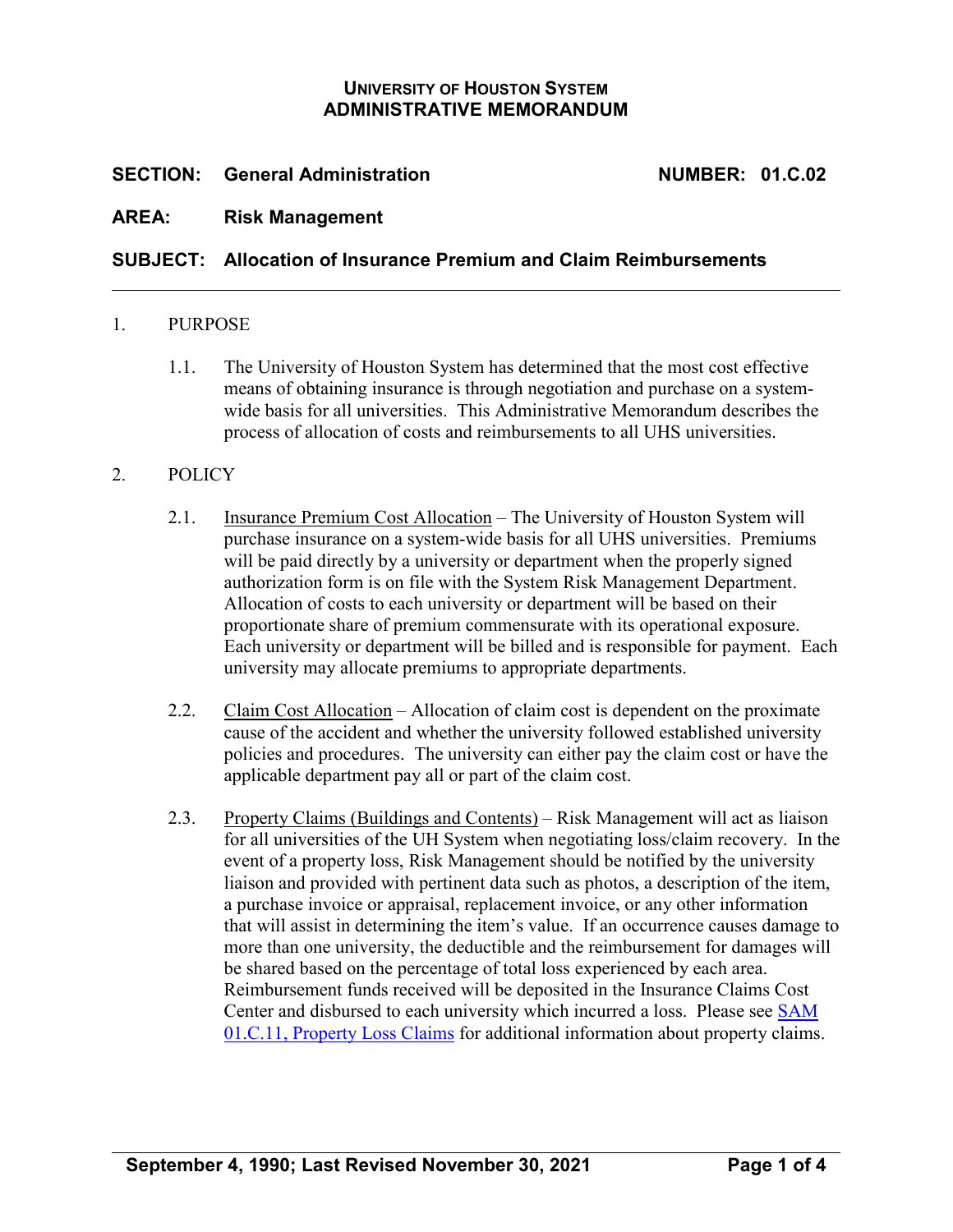## **UNIVERSITY OF HOUSTON SYSTEM ADMINISTRATIVE MEMORANDUM**

## **SECTION: General Administration NUMBER: 01.C.02**

## **AREA: Risk Management**

## **SUBJECT: Allocation of Insurance Premium and Claim Reimbursements**

#### 1. PURPOSE

1.1. The University of Houston System has determined that the most cost effective means of obtaining insurance is through negotiation and purchase on a systemwide basis for all universities. This Administrative Memorandum describes the process of allocation of costs and reimbursements to all UHS universities.

### 2. POLICY

- 2.1. Insurance Premium Cost Allocation The University of Houston System will purchase insurance on a system-wide basis for all UHS universities. Premiums will be paid directly by a university or department when the properly signed authorization form is on file with the System Risk Management Department. Allocation of costs to each university or department will be based on their proportionate share of premium commensurate with its operational exposure. Each university or department will be billed and is responsible for payment. Each university may allocate premiums to appropriate departments.
- 2.2. Claim Cost Allocation Allocation of claim cost is dependent on the proximate cause of the accident and whether the university followed established university policies and procedures. The university can either pay the claim cost or have the applicable department pay all or part of the claim cost.
- 2.3. Property Claims (Buildings and Contents) Risk Management will act as liaison for all universities of the UH System when negotiating loss/claim recovery. In the event of a property loss, Risk Management should be notified by the university liaison and provided with pertinent data such as photos, a description of the item, a purchase invoice or appraisal, replacement invoice, or any other information that will assist in determining the item's value. If an occurrence causes damage to more than one university, the deductible and the reimbursement for damages will be shared based on the percentage of total loss experienced by each area. Reimbursement funds received will be deposited in the Insurance Claims Cost Center and disbursed to each university which incurred a loss. Please see [SAM](https://uhsystem.edu/compliance-ethics/_docs/sam/01/1c11.pdf)  [01.C.11, Property Loss Claims](https://uhsystem.edu/compliance-ethics/_docs/sam/01/1c11.pdf) for additional information about property claims.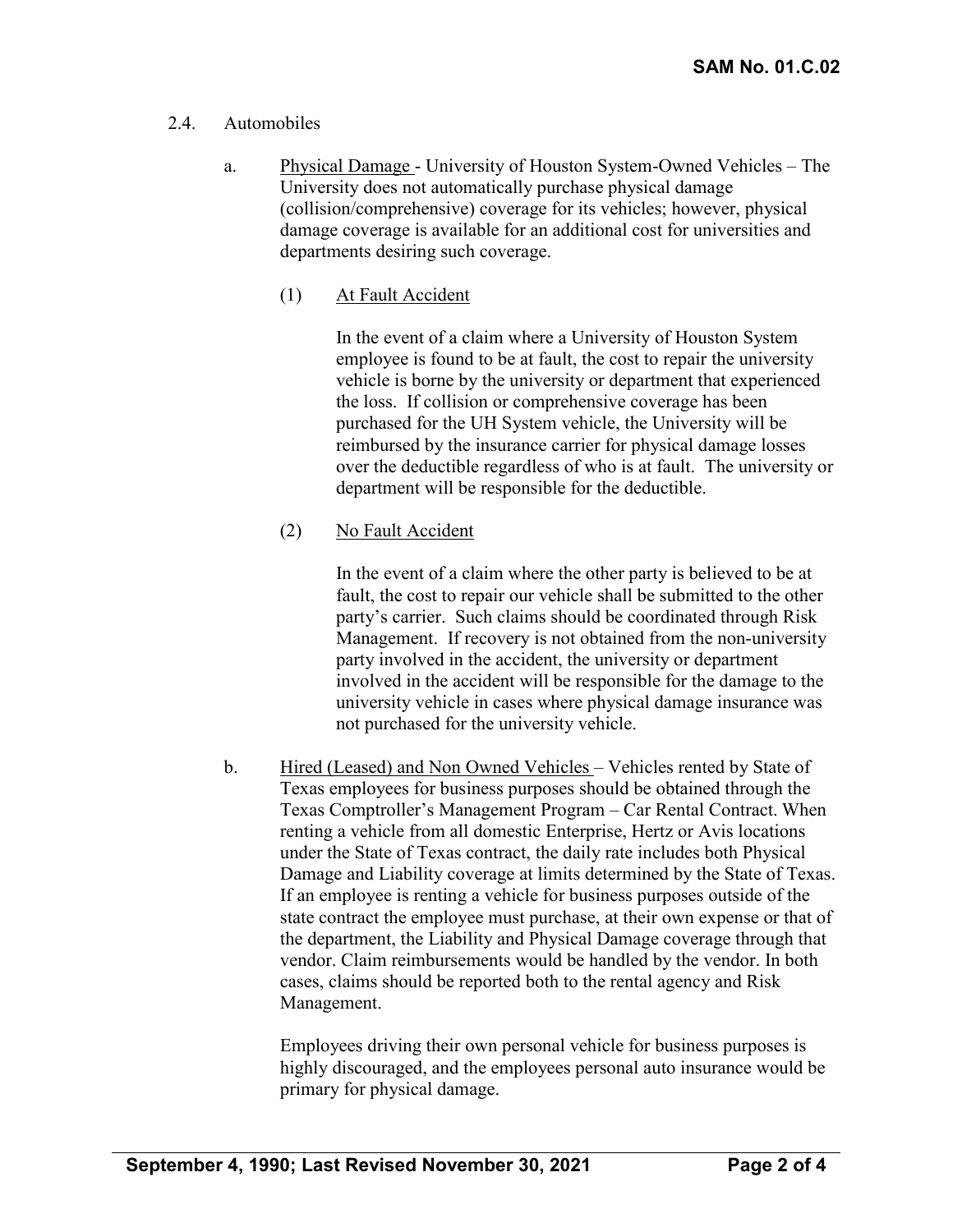## 2.4. Automobiles

- a. Physical Damage University of Houston System-Owned Vehicles The University does not automatically purchase physical damage (collision/comprehensive) coverage for its vehicles; however, physical damage coverage is available for an additional cost for universities and departments desiring such coverage.
	- (1) At Fault Accident

In the event of a claim where a University of Houston System employee is found to be at fault, the cost to repair the university vehicle is borne by the university or department that experienced the loss. If collision or comprehensive coverage has been purchased for the UH System vehicle, the University will be reimbursed by the insurance carrier for physical damage losses over the deductible regardless of who is at fault. The university or department will be responsible for the deductible.

(2) No Fault Accident

In the event of a claim where the other party is believed to be at fault, the cost to repair our vehicle shall be submitted to the other party's carrier. Such claims should be coordinated through Risk Management. If recovery is not obtained from the non-university party involved in the accident, the university or department involved in the accident will be responsible for the damage to the university vehicle in cases where physical damage insurance was not purchased for the university vehicle.

b. Hired (Leased) and Non Owned Vehicles – Vehicles rented by State of Texas employees for business purposes should be obtained through the Texas Comptroller's Management Program – Car Rental Contract. When renting a vehicle from all domestic Enterprise, Hertz or Avis locations under the State of Texas contract, the daily rate includes both Physical Damage and Liability coverage at limits determined by the State of Texas. If an employee is renting a vehicle for business purposes outside of the state contract the employee must purchase, at their own expense or that of the department, the Liability and Physical Damage coverage through that vendor. Claim reimbursements would be handled by the vendor. In both cases, claims should be reported both to the rental agency and Risk Management.

Employees driving their own personal vehicle for business purposes is highly discouraged, and the employees personal auto insurance would be primary for physical damage.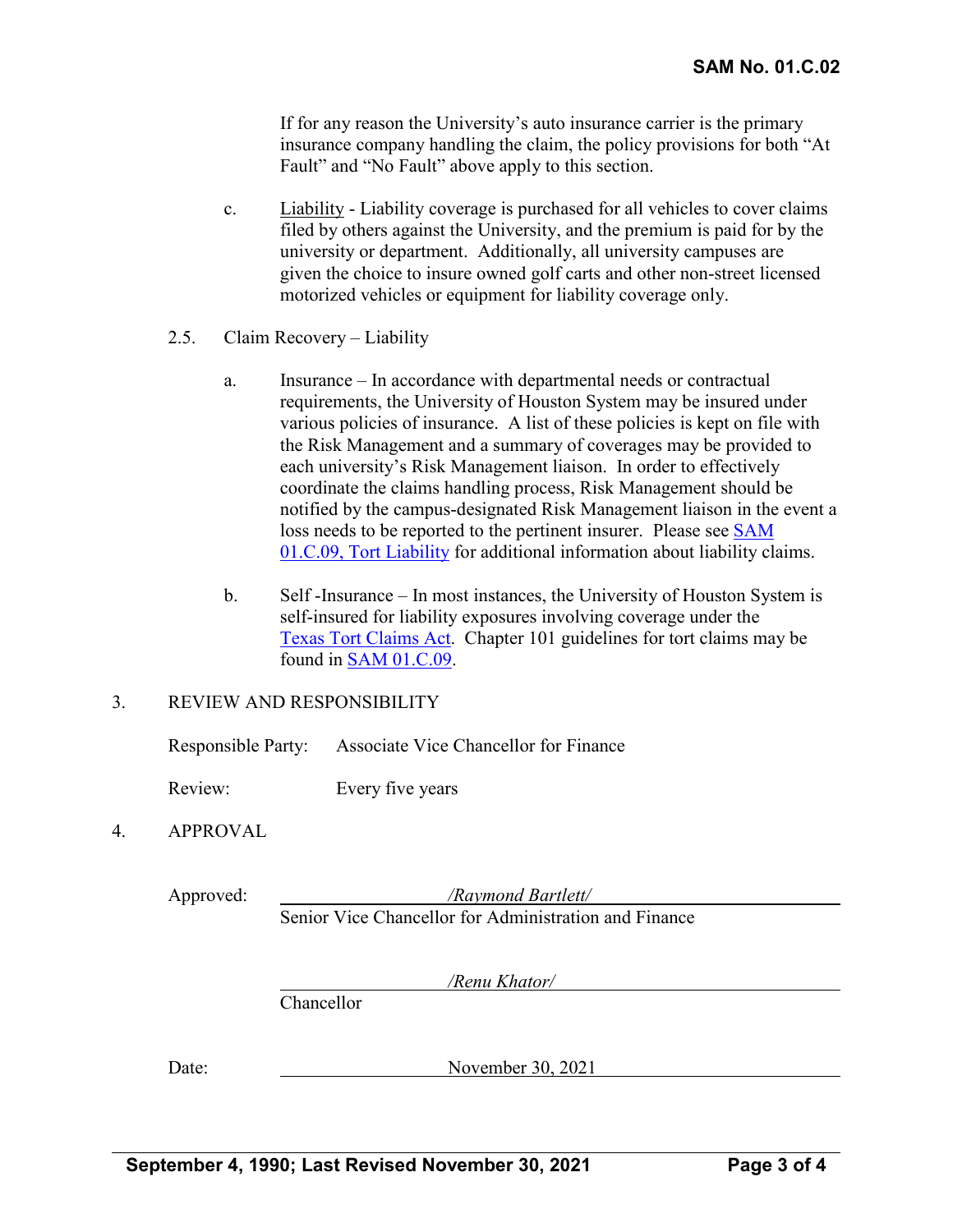If for any reason the University's auto insurance carrier is the primary insurance company handling the claim, the policy provisions for both "At Fault" and "No Fault" above apply to this section.

- c. Liability Liability coverage is purchased for all vehicles to cover claims filed by others against the University, and the premium is paid for by the university or department. Additionally, all university campuses are given the choice to insure owned golf carts and other non-street licensed motorized vehicles or equipment for liability coverage only.
- 2.5. Claim Recovery Liability
	- a. Insurance In accordance with departmental needs or contractual requirements, the University of Houston System may be insured under various policies of insurance. A list of these policies is kept on file with the Risk Management and a summary of coverages may be provided to each university's Risk Management liaison. In order to effectively coordinate the claims handling process, Risk Management should be notified by the campus-designated Risk Management liaison in the event a loss needs to be reported to the pertinent insurer. Please see [SAM](https://uhsystem.edu/compliance-ethics/_docs/sam/01/1c9.pdf) [01.C.09, Tort Liability](https://uhsystem.edu/compliance-ethics/_docs/sam/01/1c9.pdf) for additional information about liability claims.
	- b. Self -Insurance In most instances, the University of Houston System is self-insured for liability exposures involving coverage under the [Texas Tort Claims Act.](http://www.statutes.legis.state.tx.us/Docs/CP/htm/CP.101.htm) Chapter 101 guidelines for tort claims may be found in [SAM 01.C.09.](https://uhsystem.edu/compliance-ethics/_docs/sam/01/1c9.pdf)

### 3. REVIEW AND RESPONSIBILITY

Responsible Party: Associate Vice Chancellor for Finance

Review: Every five years

### 4. APPROVAL

Approved: */Raymond Bartlett/* Senior Vice Chancellor for Administration and Finance

*/Renu Khator/*

Chancellor

Date: November 30, 2021